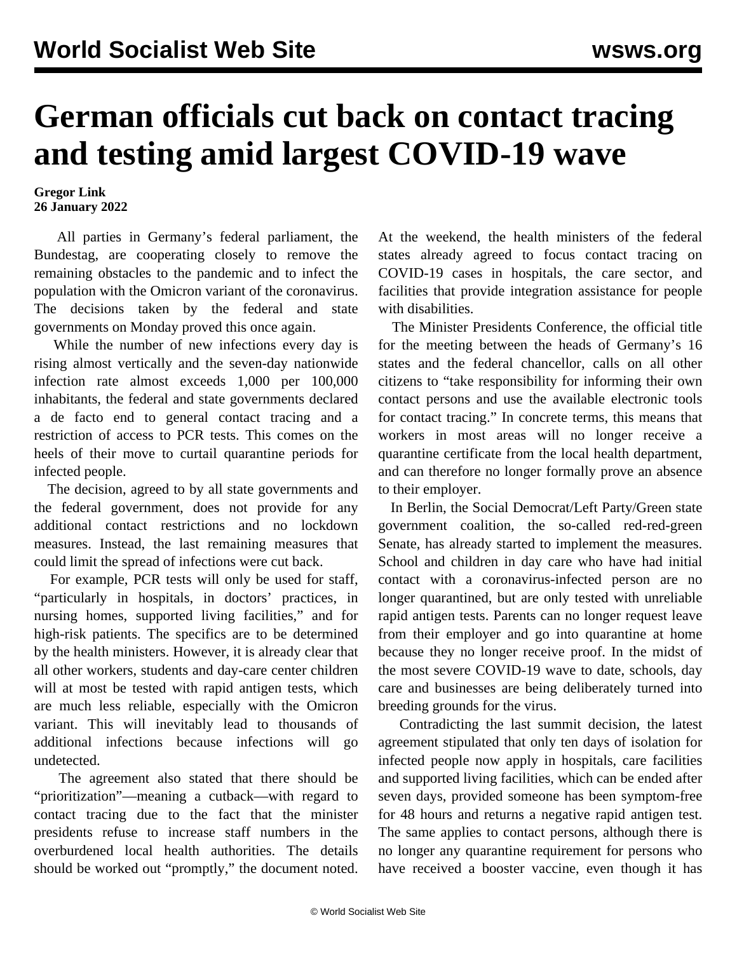## **German officials cut back on contact tracing and testing amid largest COVID-19 wave**

## **Gregor Link 26 January 2022**

 All parties in Germany's federal parliament, the Bundestag, are cooperating closely to remove the remaining obstacles to the pandemic and to infect the population with the Omicron variant of the coronavirus. The decisions taken by the federal and state governments on Monday proved this once again.

 While the number of new infections every day is rising almost vertically and the seven-day nationwide infection rate almost exceeds 1,000 per 100,000 inhabitants, the federal and state governments declared a de facto end to general contact tracing and a restriction of access to PCR tests. This comes on the heels of their move to curtail quarantine periods for infected people.

 The decision, agreed to by all state governments and the federal government, does not provide for any additional contact restrictions and no lockdown measures. Instead, the last remaining measures that could limit the spread of infections were cut back.

 For example, PCR tests will only be used for staff, "particularly in hospitals, in doctors' practices, in nursing homes, supported living facilities," and for high-risk patients. The specifics are to be determined by the health ministers. However, it is already clear that all other workers, students and day-care center children will at most be tested with rapid antigen tests, which are much less reliable, especially with the Omicron variant. This will inevitably lead to thousands of additional infections because infections will go undetected.

 The agreement also stated that there should be "prioritization"—meaning a cutback—with regard to contact tracing due to the fact that the minister presidents refuse to increase staff numbers in the overburdened local health authorities. The details should be worked out "promptly," the document noted. At the weekend, the health ministers of the federal states already agreed to focus contact tracing on COVID-19 cases in hospitals, the care sector, and facilities that provide integration assistance for people with disabilities.

 The Minister Presidents Conference, the official title for the meeting between the heads of Germany's 16 states and the federal chancellor, calls on all other citizens to "take responsibility for informing their own contact persons and use the available electronic tools for contact tracing." In concrete terms, this means that workers in most areas will no longer receive a quarantine certificate from the local health department, and can therefore no longer formally prove an absence to their employer.

 In Berlin, the Social Democrat/Left Party/Green state government coalition, the so-called red-red-green Senate, has already started to implement the measures. School and children in day care who have had initial contact with a coronavirus-infected person are no longer quarantined, but are only tested with unreliable rapid antigen tests. Parents can no longer request leave from their employer and go into quarantine at home because they no longer receive proof. In the midst of the most severe COVID-19 wave to date, schools, day care and businesses are being deliberately turned into breeding grounds for the virus.

 Contradicting the last summit decision, the latest agreement stipulated that only ten days of isolation for infected people now apply in hospitals, care facilities and supported living facilities, which can be ended after seven days, provided someone has been symptom-free for 48 hours and returns a negative rapid antigen test. The same applies to contact persons, although there is no longer any quarantine requirement for persons who have received a booster vaccine, even though it has